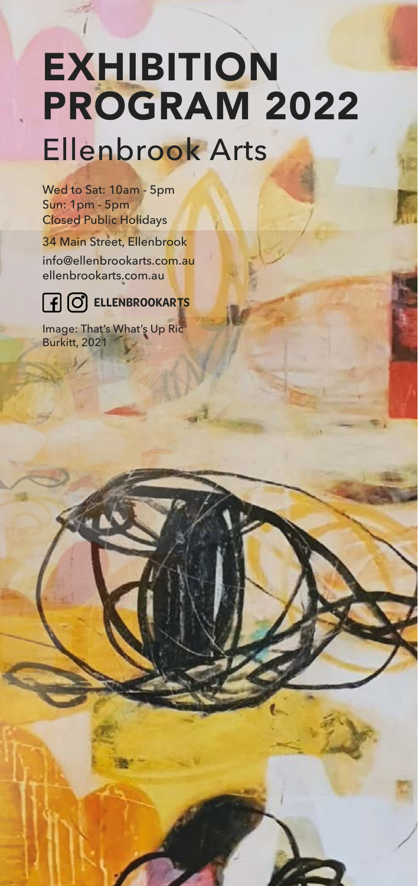# **EXHIBITION** PROGRAM 2022 Ellenbrook Arts

Wed to Sat: 10am - 5pm Sun: 1pm - 5pm Closed Public Holidays 34 Main Street, Ellenbrook info@ellenbrookarts.com.au ellenbrookarts.com.au



Image: That's What's Up Ric Burkitt, 2021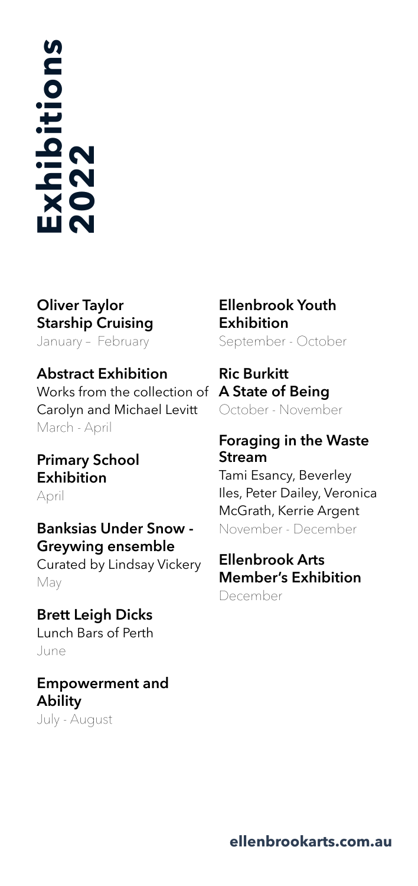# **Exhibitions** Exhibitions<br>2022

# **Oliver Taylor Starship Cruising**

January – February

#### **Abstract Exhibition**

Works from the collection of **A State of Being** Carolyn and Michael Levitt March - April

# **Primary School Exhibition**

April

### **Banksias Under Snow - Greywing ensemble**

Curated by Lindsay Vickery May

# **Brett Leigh Dicks**

Lunch Bars of Perth June

# **Empowerment and Ability**

July - August

# **Ellenbrook Youth Exhibition**

September - October

# **Ric Burkitt**

October - November

#### **Foraging in the Waste Stream**

Tami Esancy, Beverley Iles, Peter Dailey, Veronica McGrath, Kerrie Argent November - December

# **Ellenbrook Arts Member's Exhibition**

December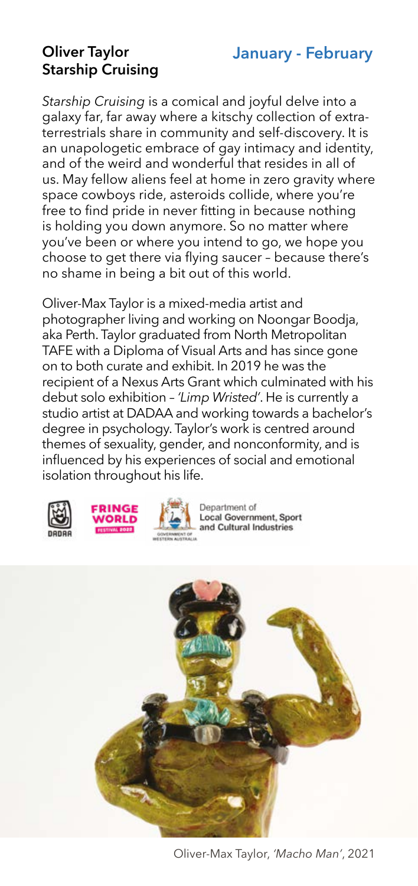# **January - February**

#### **Oliver Taylor Starship Cruising**

*Starship Cruising* is a comical and joyful delve into a galaxy far, far away where a kitschy collection of extraterrestrials share in community and self-discovery. It is an unapologetic embrace of gay intimacy and identity, and of the weird and wonderful that resides in all of us. May fellow aliens feel at home in zero gravity where space cowboys ride, asteroids collide, where you're free to find pride in never fitting in because nothing is holding you down anymore. So no matter where you've been or where you intend to go, we hope you choose to get there via flying saucer – because there's no shame in being a bit out of this world.

Oliver-Max Taylor is a mixed-media artist and photographer living and working on Noongar Boodja, aka Perth. Taylor graduated from North Metropolitan TAFE with a Diploma of Visual Arts and has since gone on to both curate and exhibit. In 2019 he was the recipient of a Nexus Arts Grant which culminated with his debut solo exhibition – *'Limp Wristed'*. He is currently a studio artist at DADAA and working towards a bachelor's degree in psychology. Taylor's work is centred around themes of sexuality, gender, and nonconformity, and is influenced by his experiences of social and emotional isolation throughout his life.







Department of **Local Government, Sport** and Cultural Industries



Oliver-Max Taylor, *'Macho Man'*, 2021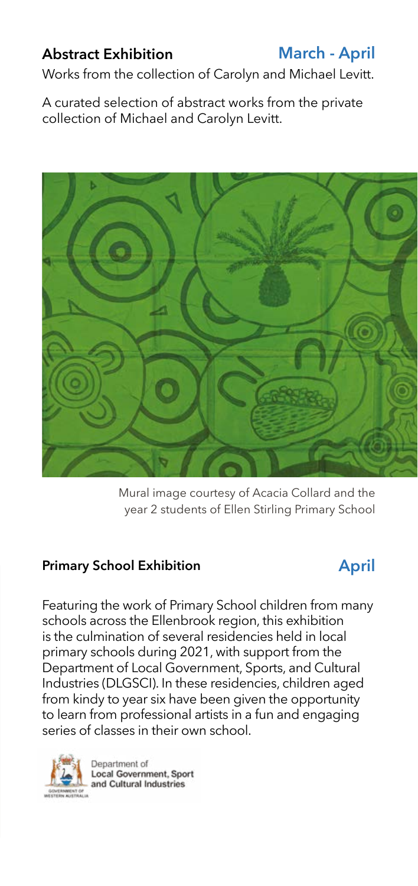# **Abstract Exhibition**

**March - April**

Works from the collection of Carolyn and Michael Levitt.

A curated selection of abstract works from the private collection of Michael and Carolyn Levitt.



Mural image courtesy of Acacia Collard and the year 2 students of Ellen Stirling Primary School

#### **Primary School Exhibition**

# **April**

Featuring the work of Primary School children from many schools across the Ellenbrook region, this exhibition is the culmination of several residencies held in local primary schools during 2021, with support from the Department of Local Government, Sports, and Cultural Industries (DLGSCI). In these residencies, children aged from kindy to year six have been given the opportunity to learn from professional artists in a fun and engaging series of classes in their own school.

Department of **Local Government, Sport** and Cultural Industries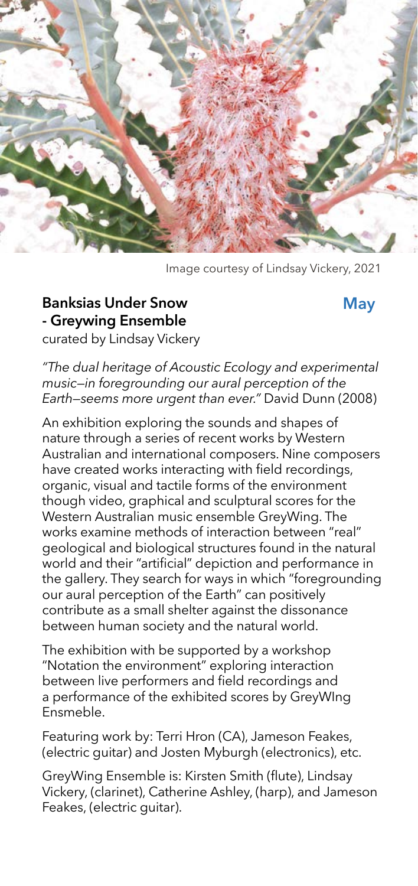

Image courtesy of Lindsay Vickery, 2021

#### **Banksias Under Snow - Greywing Ensemble**

#### **May**

curated by Lindsay Vickery

*"The dual heritage of Acoustic Ecology and experimental music—in foregrounding our aural perception of the Earth—seems more urgent than ever."* David Dunn (2008)

An exhibition exploring the sounds and shapes of nature through a series of recent works by Western Australian and international composers. Nine composers have created works interacting with field recordings, organic, visual and tactile forms of the environment though video, graphical and sculptural scores for the Western Australian music ensemble GreyWing. The works examine methods of interaction between "real" geological and biological structures found in the natural world and their "artificial" depiction and performance in the gallery. They search for ways in which "foregrounding our aural perception of the Earth" can positively contribute as a small shelter against the dissonance between human society and the natural world.

The exhibition with be supported by a workshop "Notation the environment" exploring interaction between live performers and field recordings and a performance of the exhibited scores by GreyWIng Ensmeble.

Featuring work by: Terri Hron (CA), Jameson Feakes, (electric guitar) and Josten Myburgh (electronics), etc.

GreyWing Ensemble is: Kirsten Smith (flute), Lindsay Vickery, (clarinet), Catherine Ashley, (harp), and Jameson Feakes, (electric guitar).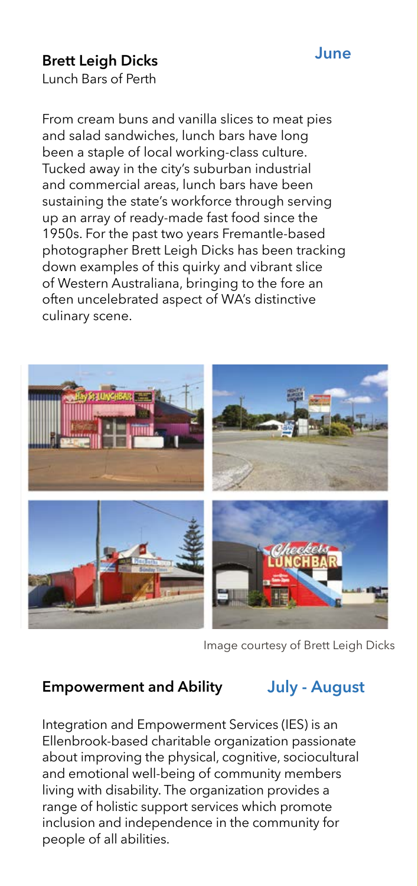#### **June**

## **Brett Leigh Dicks**

Lunch Bars of Perth

From cream buns and vanilla slices to meat pies and salad sandwiches, lunch bars have long been a staple of local working-class culture. Tucked away in the city's suburban industrial and commercial areas, lunch bars have been sustaining the state's workforce through serving up an array of ready-made fast food since the 1950s. For the past two years Fremantle-based photographer Brett Leigh Dicks has been tracking down examples of this quirky and vibrant slice of Western Australiana, bringing to the fore an often uncelebrated aspect of WA's distinctive culinary scene.



Image courtesy of Brett Leigh Dicks

#### **Empowerment and Ability**

# **July - August**

Integration and Empowerment Services (IES) is an Ellenbrook-based charitable organization passionate about improving the physical, cognitive, sociocultural and emotional well-being of community members living with disability. The organization provides a range of holistic support services which promote inclusion and independence in the community for people of all abilities.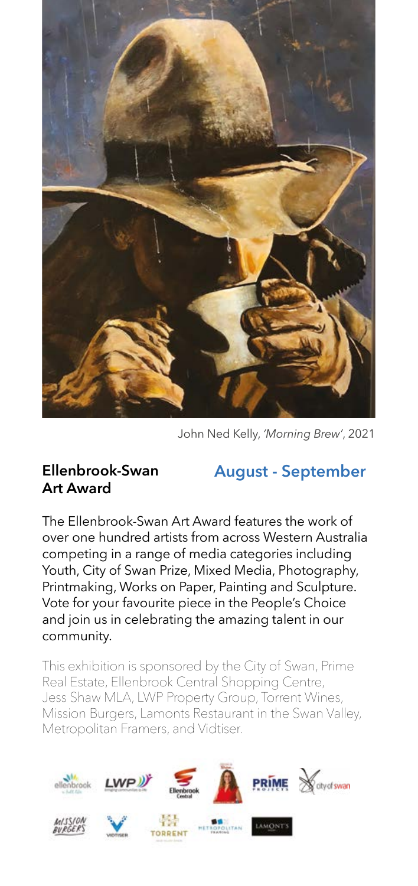

John Ned Kelly, *'Morning Brew'*, 2021

#### **Ellenbrook-Swan Art Award**

**August - September**

The Ellenbrook-Swan Art Award features the work of over one hundred artists from across Western Australia competing in a range of media categories including Youth, City of Swan Prize, Mixed Media, Photography, Printmaking, Works on Paper, Painting and Sculpture. Vote for your favourite piece in the People's Choice and join us in celebrating the amazing talent in our community.

This exhibition is sponsored by the City of Swan, Prime Real Estate, Ellenbrook Central Shopping Centre, Jess Shaw MLA, LWP Property Group, Torrent Wines, Mission Burgers, Lamonts Restaurant in the Swan Valley, Metropolitan Framers, and Vidtiser.

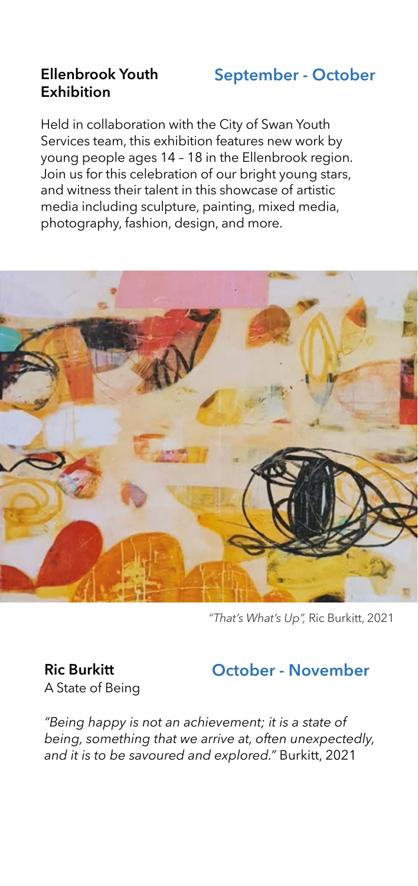### **Ellenbrook Youth Exhibition**

# **September - October**

Held in collaboration with the City of Swan Youth Services team, this exhibition features new work by young people ages 14 – 18 in the Ellenbrook region. Join us for this celebration of our bright young stars, and witness their talent in this showcase of artistic media including sculpture, painting, mixed media, photography, fashion, design, and more.



*"That's What's Up",* Ric Burkitt, 2021

**Ric Burkitt** A State of Being

# **October - November**

*"Being happy is not an achievement; it is a state of being, something that we arrive at, often unexpectedly, and it is to be savoured and explored."* Burkitt, 2021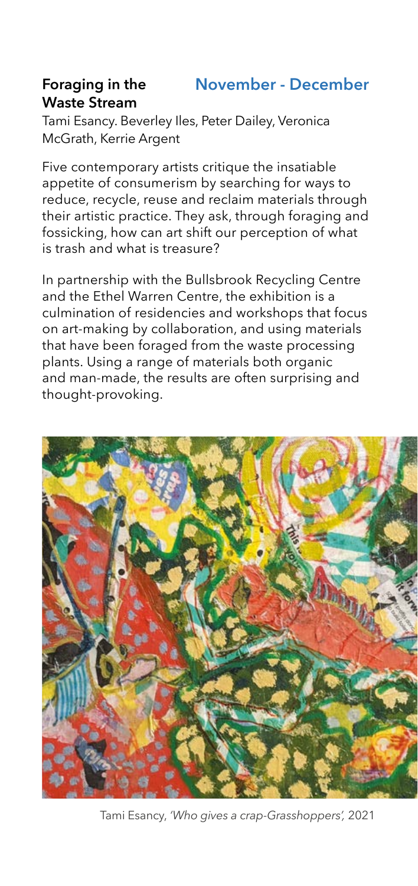#### **Foraging in the Waste Stream November - December**

Tami Esancy. Beverley Iles, Peter Dailey, Veronica McGrath, Kerrie Argent

Five contemporary artists critique the insatiable appetite of consumerism by searching for ways to reduce, recycle, reuse and reclaim materials through their artistic practice. They ask, through foraging and fossicking, how can art shift our perception of what is trash and what is treasure?

In partnership with the Bullsbrook Recycling Centre and the Ethel Warren Centre, the exhibition is a culmination of residencies and workshops that focus on art-making by collaboration, and using materials that have been foraged from the waste processing plants. Using a range of materials both organic and man-made, the results are often surprising and thought-provoking.



Tami Esancy, *'Who gives a crap-Grasshoppers',* 2021